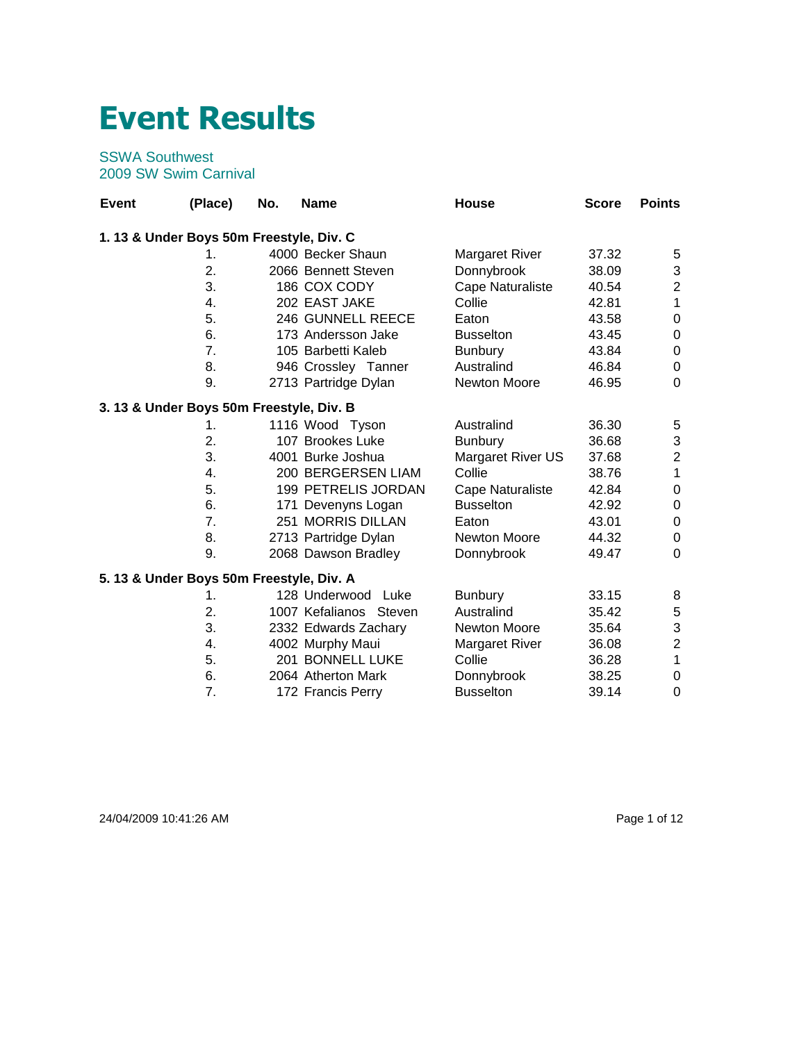## **Event Results**

## SSWA Southwest 2009 SW Swim Carnival

| <b>Event</b> | (Place)                                  | No. | <b>Name</b>               | House                 | <b>Score</b> | <b>Points</b>    |
|--------------|------------------------------------------|-----|---------------------------|-----------------------|--------------|------------------|
|              | 1.13 & Under Boys 50m Freestyle, Div. C  |     |                           |                       |              |                  |
|              | 1.                                       |     | 4000 Becker Shaun         | <b>Margaret River</b> | 37.32        | 5                |
|              | 2.                                       |     | 2066 Bennett Steven       | Donnybrook            | 38.09        | 3                |
|              | 3.                                       |     | 186 COX CODY              | Cape Naturaliste      | 40.54        | $\overline{c}$   |
|              | 4.                                       |     | 202 EAST JAKE             | Collie                | 42.81        | 1                |
|              | 5.                                       |     | 246 GUNNELL REECE         | Eaton                 | 43.58        | $\boldsymbol{0}$ |
|              | 6.                                       |     | 173 Andersson Jake        | <b>Busselton</b>      | 43.45        | 0                |
|              | 7.                                       |     | 105 Barbetti Kaleb        | <b>Bunbury</b>        | 43.84        | 0                |
|              | 8.                                       |     | 946 Crossley Tanner       | Australind            | 46.84        | 0                |
|              | 9.                                       |     | 2713 Partridge Dylan      | <b>Newton Moore</b>   | 46.95        | 0                |
|              | 3. 13 & Under Boys 50m Freestyle, Div. B |     |                           |                       |              |                  |
|              | 1.                                       |     | 1116 Wood Tyson           | Australind            | 36.30        | 5                |
|              | 2.                                       |     | 107 Brookes Luke          | <b>Bunbury</b>        | 36.68        | 3                |
|              | 3.                                       |     | 4001 Burke Joshua         | Margaret River US     | 37.68        | $\overline{c}$   |
|              | 4.                                       |     | 200 BERGERSEN LIAM        | Collie                | 38.76        | $\mathbf{1}$     |
|              | 5.                                       |     | 199 PETRELIS JORDAN       | Cape Naturaliste      | 42.84        | $\pmb{0}$        |
|              | 6.                                       |     | 171 Devenyns Logan        | <b>Busselton</b>      | 42.92        | 0                |
|              | 7.                                       |     | 251 MORRIS DILLAN         | Eaton                 | 43.01        | $\pmb{0}$        |
|              | 8.                                       |     | 2713 Partridge Dylan      | <b>Newton Moore</b>   | 44.32        | $\pmb{0}$        |
|              | 9.                                       |     | 2068 Dawson Bradley       | Donnybrook            | 49.47        | 0                |
|              | 5. 13 & Under Boys 50m Freestyle, Div. A |     |                           |                       |              |                  |
|              | 1.                                       |     | 128 Underwood<br>Luke     | <b>Bunbury</b>        | 33.15        | 8                |
|              | 2.                                       |     | 1007 Kefalianos<br>Steven | Australind            | 35.42        | $\,$ 5 $\,$      |
|              | 3.                                       |     | 2332 Edwards Zachary      | Newton Moore          | 35.64        | 3                |
|              | 4.                                       |     | 4002 Murphy Maui          | <b>Margaret River</b> | 36.08        | $\overline{c}$   |
|              | 5.                                       |     | 201 BONNELL LUKE          | Collie                | 36.28        | $\mathbf{1}$     |
|              | 6.                                       |     | 2064 Atherton Mark        | Donnybrook            | 38.25        | 0                |
|              | 7.                                       |     | 172 Francis Perry         | <b>Busselton</b>      | 39.14        | $\mathbf 0$      |

24/04/2009 10:41:26 AM Page 1 of 12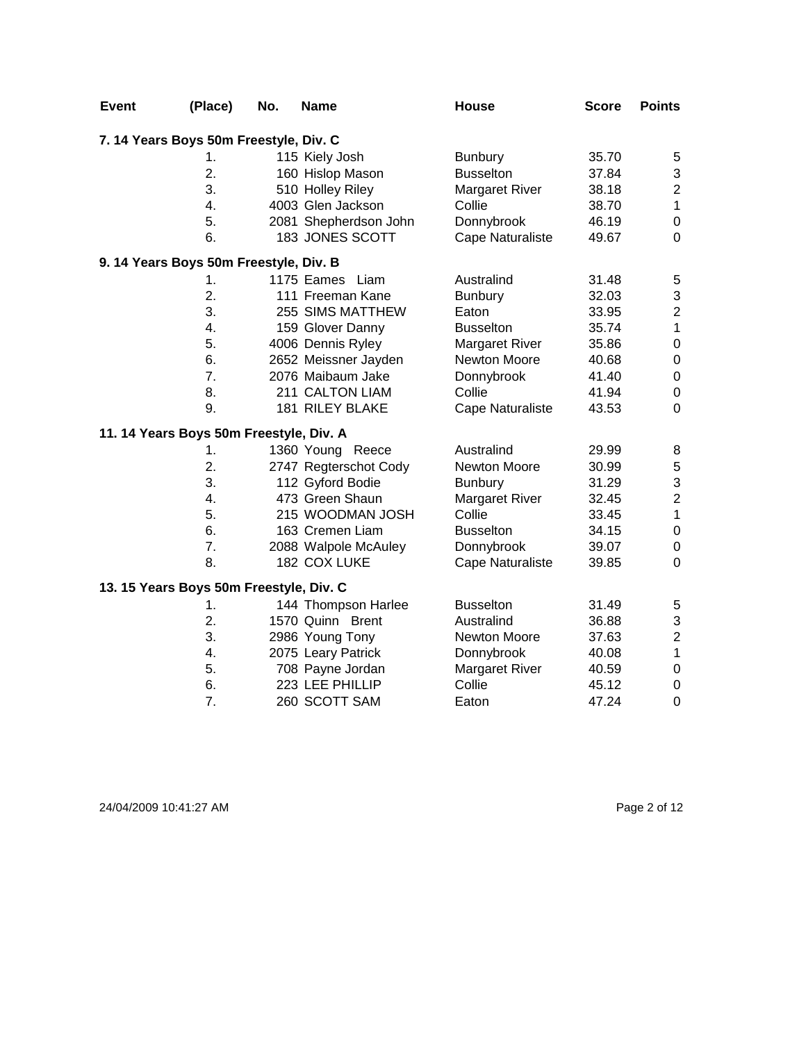| <b>Event</b> | (Place)                                 | No. | <b>Name</b>           | House                   | <b>Score</b> | <b>Points</b>    |
|--------------|-----------------------------------------|-----|-----------------------|-------------------------|--------------|------------------|
|              | 7.14 Years Boys 50m Freestyle, Div. C   |     |                       |                         |              |                  |
|              | 1.                                      |     | 115 Kiely Josh        | <b>Bunbury</b>          | 35.70        | 5                |
|              | 2.                                      |     | 160 Hislop Mason      | <b>Busselton</b>        | 37.84        | 3                |
|              | 3.                                      |     | 510 Holley Riley      | <b>Margaret River</b>   | 38.18        | $\overline{c}$   |
|              | 4.                                      |     | 4003 Glen Jackson     | Collie                  | 38.70        | $\mathbf{1}$     |
|              | 5.                                      |     | 2081 Shepherdson John | Donnybrook              | 46.19        | $\mathbf 0$      |
|              | 6.                                      |     | 183 JONES SCOTT       | Cape Naturaliste        | 49.67        | $\mathbf 0$      |
|              | 9. 14 Years Boys 50m Freestyle, Div. B  |     |                       |                         |              |                  |
|              | 1.                                      |     | 1175 Eames Liam       | Australind              | 31.48        | 5                |
|              | 2.                                      |     | 111 Freeman Kane      | <b>Bunbury</b>          | 32.03        | 3                |
|              | 3.                                      |     | 255 SIMS MATTHEW      | Eaton                   | 33.95        | $\overline{c}$   |
|              | 4.                                      |     | 159 Glover Danny      | <b>Busselton</b>        | 35.74        | $\mathbf{1}$     |
|              | 5.                                      |     | 4006 Dennis Ryley     | <b>Margaret River</b>   | 35.86        | $\boldsymbol{0}$ |
|              | 6.                                      |     | 2652 Meissner Jayden  | Newton Moore            | 40.68        | $\boldsymbol{0}$ |
|              | 7.                                      |     | 2076 Maibaum Jake     | Donnybrook              | 41.40        | $\boldsymbol{0}$ |
|              | 8.                                      |     | 211 CALTON LIAM       | Collie                  | 41.94        | $\boldsymbol{0}$ |
|              | 9.                                      |     | 181 RILEY BLAKE       | <b>Cape Naturaliste</b> | 43.53        | $\mathbf 0$      |
|              | 11. 14 Years Boys 50m Freestyle, Div. A |     |                       |                         |              |                  |
|              | 1.                                      |     | 1360 Young Reece      | Australind              | 29.99        | 8                |
|              | 2.                                      |     | 2747 Regterschot Cody | Newton Moore            | 30.99        | $\mathbf 5$      |
|              | 3.                                      |     | 112 Gyford Bodie      | <b>Bunbury</b>          | 31.29        | 3                |
|              | 4.                                      |     | 473 Green Shaun       | <b>Margaret River</b>   | 32.45        | $\overline{c}$   |
|              | 5.                                      |     | 215 WOODMAN JOSH      | Collie                  | 33.45        | $\mathbf{1}$     |
|              | 6.                                      |     | 163 Cremen Liam       | <b>Busselton</b>        | 34.15        | $\mathbf 0$      |
|              | 7.                                      |     | 2088 Walpole McAuley  | Donnybrook              | 39.07        | $\boldsymbol{0}$ |
|              | 8.                                      |     | 182 COX LUKE          | <b>Cape Naturaliste</b> | 39.85        | 0                |
|              | 13. 15 Years Boys 50m Freestyle, Div. C |     |                       |                         |              |                  |
|              | 1.                                      |     | 144 Thompson Harlee   | <b>Busselton</b>        | 31.49        | 5                |
|              | 2.                                      |     | 1570 Quinn Brent      | Australind              | 36.88        | 3                |
|              | 3.                                      |     | 2986 Young Tony       | Newton Moore            | 37.63        | $\overline{c}$   |
|              | 4.                                      |     | 2075 Leary Patrick    | Donnybrook              | 40.08        | $\mathbf{1}$     |
|              | 5.                                      |     | 708 Payne Jordan      | <b>Margaret River</b>   | 40.59        | $\boldsymbol{0}$ |
|              | 6.                                      |     | 223 LEE PHILLIP       | Collie                  | 45.12        | $\boldsymbol{0}$ |
|              | 7.                                      |     | 260 SCOTT SAM         | Eaton                   | 47.24        | 0                |

24/04/2009 10:41:27 AM Page 2 of 12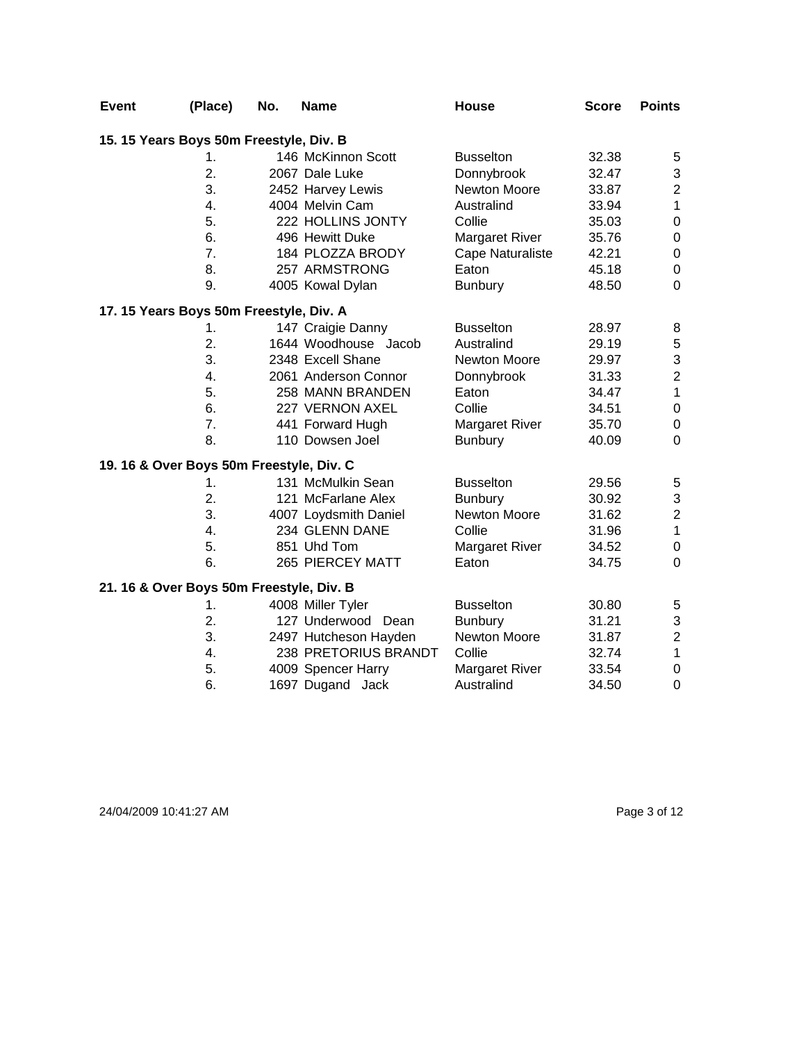| <b>Event</b>                             | (Place) | No. | <b>Name</b>           | <b>House</b>          | <b>Score</b> | <b>Points</b>    |
|------------------------------------------|---------|-----|-----------------------|-----------------------|--------------|------------------|
| 15. 15 Years Boys 50m Freestyle, Div. B  |         |     |                       |                       |              |                  |
|                                          | 1.      |     | 146 McKinnon Scott    | <b>Busselton</b>      | 32.38        | 5                |
|                                          | 2.      |     | 2067 Dale Luke        | Donnybrook            | 32.47        | 3                |
|                                          | 3.      |     | 2452 Harvey Lewis     | Newton Moore          | 33.87        | $\overline{c}$   |
|                                          | 4.      |     | 4004 Melvin Cam       | Australind            | 33.94        | $\mathbf{1}$     |
|                                          | 5.      |     | 222 HOLLINS JONTY     | Collie                | 35.03        | $\mathbf 0$      |
|                                          | 6.      |     | 496 Hewitt Duke       | <b>Margaret River</b> | 35.76        | $\pmb{0}$        |
|                                          | 7.      |     | 184 PLOZZA BRODY      | Cape Naturaliste      | 42.21        | $\pmb{0}$        |
|                                          | 8.      |     | 257 ARMSTRONG         | Eaton                 | 45.18        | $\boldsymbol{0}$ |
|                                          | 9.      |     | 4005 Kowal Dylan      | <b>Bunbury</b>        | 48.50        | $\boldsymbol{0}$ |
| 17. 15 Years Boys 50m Freestyle, Div. A  |         |     |                       |                       |              |                  |
|                                          | 1.      |     | 147 Craigie Danny     | <b>Busselton</b>      | 28.97        | 8                |
|                                          | 2.      |     | 1644 Woodhouse Jacob  | Australind            | 29.19        | $\mathbf 5$      |
|                                          | 3.      |     | 2348 Excell Shane     | Newton Moore          | 29.97        | 3                |
|                                          | 4.      |     | 2061 Anderson Connor  | Donnybrook            | 31.33        | $\overline{c}$   |
|                                          | 5.      |     | 258 MANN BRANDEN      | Eaton                 | 34.47        | $\mathbf{1}$     |
|                                          | 6.      |     | 227 VERNON AXEL       | Collie                | 34.51        | $\boldsymbol{0}$ |
|                                          | 7.      |     | 441 Forward Hugh      | <b>Margaret River</b> | 35.70        | $\boldsymbol{0}$ |
|                                          | 8.      |     | 110 Dowsen Joel       | <b>Bunbury</b>        | 40.09        | 0                |
| 19. 16 & Over Boys 50m Freestyle, Div. C |         |     |                       |                       |              |                  |
|                                          | 1.      |     | 131 McMulkin Sean     | <b>Busselton</b>      | 29.56        | 5                |
|                                          | 2.      |     | 121 McFarlane Alex    | <b>Bunbury</b>        | 30.92        | 3                |
|                                          | 3.      |     | 4007 Loydsmith Daniel | Newton Moore          | 31.62        | $\overline{c}$   |
|                                          | 4.      |     | 234 GLENN DANE        | Collie                | 31.96        | $\mathbf{1}$     |
|                                          | 5.      |     | 851 Uhd Tom           | <b>Margaret River</b> | 34.52        | $\boldsymbol{0}$ |
|                                          | 6.      |     | 265 PIERCEY MATT      | Eaton                 | 34.75        | $\mathbf 0$      |
| 21. 16 & Over Boys 50m Freestyle, Div. B |         |     |                       |                       |              |                  |
|                                          | 1.      |     | 4008 Miller Tyler     | <b>Busselton</b>      | 30.80        | 5                |
|                                          | 2.      |     | 127 Underwood<br>Dean | <b>Bunbury</b>        | 31.21        | 3                |
|                                          | 3.      |     | 2497 Hutcheson Hayden | Newton Moore          | 31.87        | $\overline{c}$   |
|                                          | 4.      |     | 238 PRETORIUS BRANDT  | Collie                | 32.74        | $\mathbf 1$      |
|                                          | 5.      |     | 4009 Spencer Harry    | <b>Margaret River</b> | 33.54        | $\pmb{0}$        |
|                                          | 6.      |     | 1697 Dugand Jack      | Australind            | 34.50        | $\mathbf 0$      |

24/04/2009 10:41:27 AM Page 3 of 12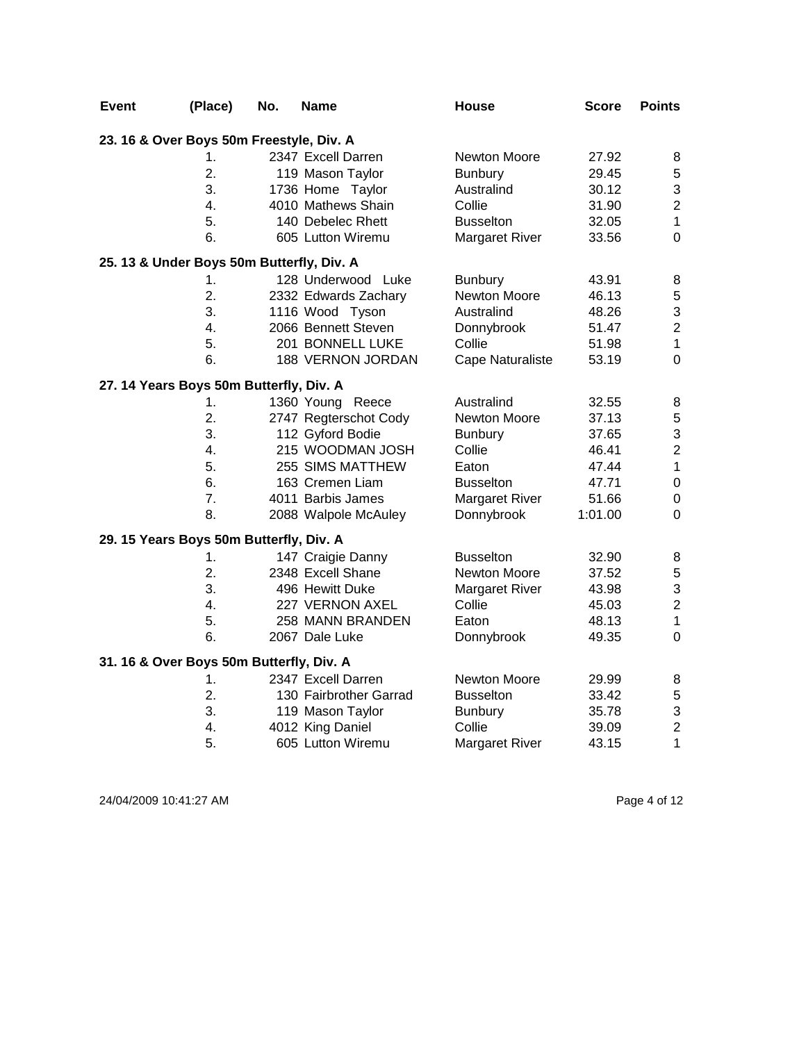| <b>Event</b> | (Place)                                   | No. | Name                   | <b>House</b>          | <b>Score</b> | <b>Points</b>    |
|--------------|-------------------------------------------|-----|------------------------|-----------------------|--------------|------------------|
|              | 23. 16 & Over Boys 50m Freestyle, Div. A  |     |                        |                       |              |                  |
|              | 1.                                        |     | 2347 Excell Darren     | Newton Moore          | 27.92        | 8                |
|              | $\overline{2}$ .                          |     | 119 Mason Taylor       | <b>Bunbury</b>        | 29.45        | 5                |
|              | 3.                                        |     | 1736 Home Taylor       | Australind            | 30.12        | 3                |
|              | 4.                                        |     | 4010 Mathews Shain     | Collie                | 31.90        | $\overline{c}$   |
|              | 5.                                        |     | 140 Debelec Rhett      | <b>Busselton</b>      | 32.05        | $\mathbf 1$      |
|              | 6.                                        |     | 605 Lutton Wiremu      | Margaret River        | 33.56        | $\mathbf 0$      |
|              | 25. 13 & Under Boys 50m Butterfly, Div. A |     |                        |                       |              |                  |
|              | 1.                                        |     | 128 Underwood Luke     | <b>Bunbury</b>        | 43.91        | 8                |
|              | 2.                                        |     | 2332 Edwards Zachary   | Newton Moore          | 46.13        | 5                |
|              | 3.                                        |     | 1116 Wood Tyson        | Australind            | 48.26        | 3                |
|              | 4.                                        |     | 2066 Bennett Steven    | Donnybrook            | 51.47        | $\overline{c}$   |
|              | 5.                                        |     | 201 BONNELL LUKE       | Collie                | 51.98        | $\mathbf 1$      |
|              | 6.                                        |     | 188 VERNON JORDAN      | Cape Naturaliste      | 53.19        | $\mathbf 0$      |
|              | 27. 14 Years Boys 50m Butterfly, Div. A   |     |                        |                       |              |                  |
|              | 1.                                        |     | 1360 Young Reece       | Australind            | 32.55        | 8                |
|              | 2.                                        |     | 2747 Regterschot Cody  | Newton Moore          | 37.13        | 5                |
|              | 3.                                        |     | 112 Gyford Bodie       | <b>Bunbury</b>        | 37.65        | 3                |
|              | 4.                                        |     | 215 WOODMAN JOSH       | Collie                | 46.41        | $\overline{c}$   |
|              | 5.                                        |     | 255 SIMS MATTHEW       | Eaton                 | 47.44        | $\mathbf 1$      |
|              | 6.                                        |     | 163 Cremen Liam        | <b>Busselton</b>      | 47.71        | $\boldsymbol{0}$ |
|              | 7 <sub>1</sub>                            |     | 4011 Barbis James      | Margaret River        | 51.66        | $\pmb{0}$        |
|              | 8.                                        |     | 2088 Walpole McAuley   | Donnybrook            | 1:01.00      | 0                |
|              | 29. 15 Years Boys 50m Butterfly, Div. A   |     |                        |                       |              |                  |
|              | 1.                                        |     | 147 Craigie Danny      | <b>Busselton</b>      | 32.90        | 8                |
|              | 2.                                        |     | 2348 Excell Shane      | Newton Moore          | 37.52        | 5                |
|              | 3.                                        |     | 496 Hewitt Duke        | <b>Margaret River</b> | 43.98        | 3                |
|              | 4.                                        |     | 227 VERNON AXEL        | Collie                | 45.03        | $\overline{c}$   |
|              | 5.                                        |     | 258 MANN BRANDEN       | Eaton                 | 48.13        | $\mathbf{1}$     |
|              | 6.                                        |     | 2067 Dale Luke         | Donnybrook            | 49.35        | $\mathbf 0$      |
|              | 31. 16 & Over Boys 50m Butterfly, Div. A  |     |                        |                       |              |                  |
|              | 1.                                        |     | 2347 Excell Darren     | Newton Moore          | 29.99        | 8                |
|              | 2.                                        |     | 130 Fairbrother Garrad | <b>Busselton</b>      | 33.42        | 5                |
|              | 3.                                        |     | 119 Mason Taylor       | <b>Bunbury</b>        | 35.78        | 3                |
|              | 4.                                        |     | 4012 King Daniel       | Collie                | 39.09        | $\overline{2}$   |
|              | 5.                                        |     | 605 Lutton Wiremu      | <b>Margaret River</b> | 43.15        | 1                |

24/04/2009 10:41:27 AM Page 4 of 12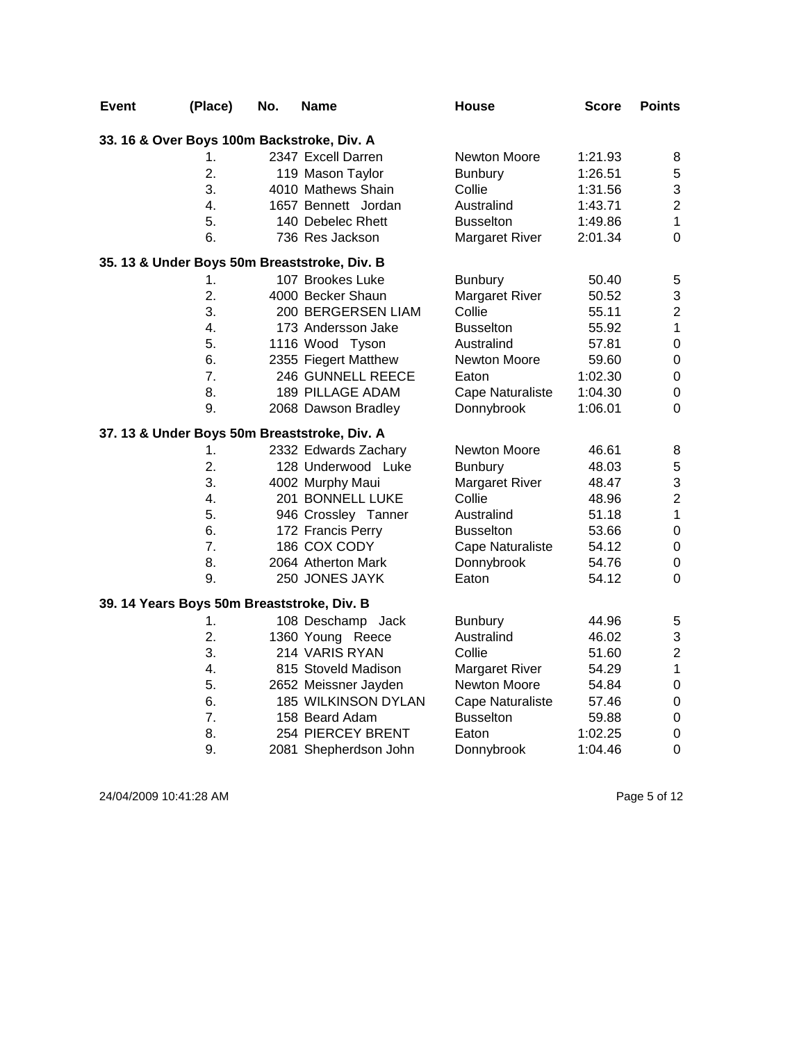| <b>Event</b>                               | (Place)          | No. | Name                                         | <b>House</b>            | Score   | <b>Points</b>           |
|--------------------------------------------|------------------|-----|----------------------------------------------|-------------------------|---------|-------------------------|
|                                            |                  |     | 33. 16 & Over Boys 100m Backstroke, Div. A   |                         |         |                         |
|                                            | 1.               |     | 2347 Excell Darren                           | Newton Moore            | 1:21.93 | 8                       |
|                                            | 2.               |     | 119 Mason Taylor                             | <b>Bunbury</b>          | 1:26.51 | 5                       |
|                                            | 3.               |     | 4010 Mathews Shain                           | Collie                  | 1:31.56 | 3                       |
|                                            | 4.               |     | 1657 Bennett Jordan                          | Australind              | 1:43.71 | $\overline{2}$          |
|                                            | 5.               |     | 140 Debelec Rhett                            | <b>Busselton</b>        | 1:49.86 | $\mathbf{1}$            |
|                                            | 6.               |     | 736 Res Jackson                              | <b>Margaret River</b>   | 2:01.34 | $\mathbf 0$             |
|                                            |                  |     | 35. 13 & Under Boys 50m Breaststroke, Div. B |                         |         |                         |
|                                            | 1.               |     | 107 Brookes Luke                             | <b>Bunbury</b>          | 50.40   | 5                       |
|                                            | $\overline{2}$ . |     | 4000 Becker Shaun                            | Margaret River          | 50.52   | 3                       |
|                                            | 3.               |     | 200 BERGERSEN LIAM                           | Collie                  | 55.11   | $\overline{\mathbf{c}}$ |
|                                            | 4.               |     | 173 Andersson Jake                           | <b>Busselton</b>        | 55.92   | $\mathbf{1}$            |
|                                            | 5.               |     | 1116 Wood Tyson                              | Australind              | 57.81   | $\boldsymbol{0}$        |
|                                            | 6.               |     | 2355 Fiegert Matthew                         | Newton Moore            | 59.60   | $\mathbf 0$             |
|                                            | 7.               |     | 246 GUNNELL REECE                            | Eaton                   | 1:02.30 | $\pmb{0}$               |
|                                            | 8.               |     | <b>189 PILLAGE ADAM</b>                      | Cape Naturaliste        | 1:04.30 | $\pmb{0}$               |
|                                            | 9.               |     | 2068 Dawson Bradley                          | Donnybrook              | 1:06.01 | $\mathbf 0$             |
|                                            |                  |     | 37. 13 & Under Boys 50m Breaststroke, Div. A |                         |         |                         |
|                                            | 1.               |     | 2332 Edwards Zachary                         | Newton Moore            | 46.61   | 8                       |
|                                            | $\overline{2}$ . |     | 128 Underwood Luke                           | <b>Bunbury</b>          | 48.03   | 5                       |
|                                            | 3.               |     | 4002 Murphy Maui                             | <b>Margaret River</b>   | 48.47   | 3                       |
|                                            | 4.               |     | 201 BONNELL LUKE                             | Collie                  | 48.96   | $\overline{c}$          |
|                                            | 5.               |     | 946 Crossley Tanner                          | Australind              | 51.18   | $\mathbf{1}$            |
|                                            | 6.               |     | 172 Francis Perry                            | <b>Busselton</b>        | 53.66   | $\mathbf 0$             |
|                                            | 7.               |     | 186 COX CODY                                 | Cape Naturaliste        | 54.12   | $\mathbf 0$             |
|                                            | 8.               |     | 2064 Atherton Mark                           | Donnybrook              | 54.76   | $\boldsymbol{0}$        |
|                                            | 9.               |     | 250 JONES JAYK                               | Eaton                   | 54.12   | $\mathbf 0$             |
| 39. 14 Years Boys 50m Breaststroke, Div. B |                  |     |                                              |                         |         |                         |
|                                            | 1.               |     | 108 Deschamp Jack                            | <b>Bunbury</b>          | 44.96   | 5                       |
|                                            | 2.               |     | 1360 Young Reece                             | Australind              | 46.02   | 3                       |
|                                            | 3.               |     | 214 VARIS RYAN                               | Collie                  | 51.60   | $\overline{2}$          |
|                                            | 4.               |     | 815 Stoveld Madison                          | <b>Margaret River</b>   | 54.29   | $\mathbf{1}$            |
|                                            | 5.               |     | 2652 Meissner Jayden                         | Newton Moore            | 54.84   | $\mathbf 0$             |
|                                            | 6.               |     | 185 WILKINSON DYLAN                          | <b>Cape Naturaliste</b> | 57.46   | $\pmb{0}$               |
|                                            | 7.               |     | 158 Beard Adam                               | <b>Busselton</b>        | 59.88   | $\boldsymbol{0}$        |
|                                            | 8.               |     | 254 PIERCEY BRENT                            | Eaton                   | 1:02.25 | $\boldsymbol{0}$        |
|                                            | 9.               |     | 2081 Shepherdson John                        | Donnybrook              | 1:04.46 | $\mathbf 0$             |

24/04/2009 10:41:28 AM Page 5 of 12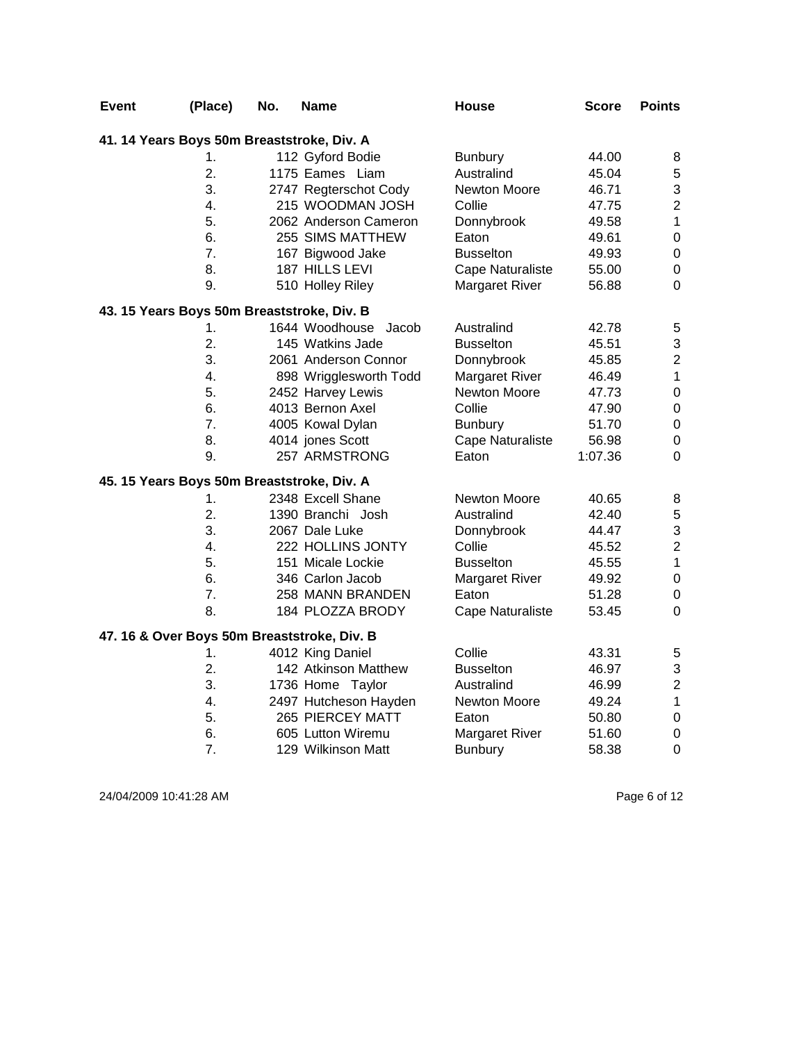| <b>Event</b> | (Place)                                    | No. | Name                                        | <b>House</b>            | <b>Score</b> | <b>Points</b>    |
|--------------|--------------------------------------------|-----|---------------------------------------------|-------------------------|--------------|------------------|
|              | 41. 14 Years Boys 50m Breaststroke, Div. A |     |                                             |                         |              |                  |
|              | 1.                                         |     | 112 Gyford Bodie                            | <b>Bunbury</b>          | 44.00        | 8                |
|              | $\overline{2}$ .                           |     | 1175 Eames Liam                             | Australind              | 45.04        | 5                |
|              | 3.                                         |     | 2747 Regterschot Cody                       | Newton Moore            | 46.71        | 3                |
|              | 4.                                         |     | 215 WOODMAN JOSH                            | Collie                  | 47.75        | $\overline{c}$   |
|              | 5.                                         |     | 2062 Anderson Cameron                       | Donnybrook              | 49.58        | $\mathbf{1}$     |
|              | 6.                                         |     | 255 SIMS MATTHEW                            | Eaton                   | 49.61        | $\mathbf 0$      |
|              | 7.                                         |     | 167 Bigwood Jake                            | <b>Busselton</b>        | 49.93        | $\boldsymbol{0}$ |
|              | 8.                                         |     | 187 HILLS LEVI                              | Cape Naturaliste        | 55.00        | $\pmb{0}$        |
|              | 9.                                         |     | 510 Holley Riley                            | <b>Margaret River</b>   | 56.88        | $\mathbf 0$      |
|              | 43. 15 Years Boys 50m Breaststroke, Div. B |     |                                             |                         |              |                  |
|              | 1.                                         |     | 1644 Woodhouse Jacob                        | Australind              | 42.78        | 5                |
|              | 2.                                         |     | 145 Watkins Jade                            | <b>Busselton</b>        | 45.51        | 3                |
|              | 3.                                         |     | 2061 Anderson Connor                        | Donnybrook              | 45.85        | $\overline{c}$   |
|              | 4.                                         |     | 898 Wrigglesworth Todd                      | Margaret River          | 46.49        | $\mathbf{1}$     |
|              | 5.                                         |     | 2452 Harvey Lewis                           | Newton Moore            | 47.73        | $\boldsymbol{0}$ |
|              | 6.                                         |     | 4013 Bernon Axel                            | Collie                  | 47.90        | $\pmb{0}$        |
|              | 7.                                         |     | 4005 Kowal Dylan                            | <b>Bunbury</b>          | 51.70        | $\boldsymbol{0}$ |
|              | 8.                                         |     | 4014 jones Scott                            | <b>Cape Naturaliste</b> | 56.98        | $\pmb{0}$        |
|              | 9.                                         |     | 257 ARMSTRONG                               | Eaton                   | 1:07.36      | $\Omega$         |
|              | 45. 15 Years Boys 50m Breaststroke, Div. A |     |                                             |                         |              |                  |
|              | 1.                                         |     | 2348 Excell Shane                           | Newton Moore            | 40.65        | 8                |
|              | 2.                                         |     | 1390 Branchi Josh                           | Australind              | 42.40        | $\mathbf 5$      |
|              | 3.                                         |     | 2067 Dale Luke                              | Donnybrook              | 44.47        | 3                |
|              | 4.                                         |     | 222 HOLLINS JONTY                           | Collie                  | 45.52        | $\overline{c}$   |
|              | 5.                                         |     | 151 Micale Lockie                           | <b>Busselton</b>        | 45.55        | $\mathbf{1}$     |
|              | 6.                                         |     | 346 Carlon Jacob                            | <b>Margaret River</b>   | 49.92        | $\boldsymbol{0}$ |
|              | 7.                                         |     | 258 MANN BRANDEN                            | Eaton                   | 51.28        | $\boldsymbol{0}$ |
|              | 8.                                         |     | 184 PLOZZA BRODY                            | Cape Naturaliste        | 53.45        | $\Omega$         |
|              |                                            |     | 47. 16 & Over Boys 50m Breaststroke, Div. B |                         |              |                  |
|              | 1.                                         |     | 4012 King Daniel                            | Collie                  | 43.31        | 5                |
|              | 2.                                         |     | 142 Atkinson Matthew                        | <b>Busselton</b>        | 46.97        | 3                |
|              | 3.                                         |     | 1736 Home Taylor                            | Australind              | 46.99        | $\boldsymbol{2}$ |
|              | 4.                                         |     | 2497 Hutcheson Hayden                       | Newton Moore            | 49.24        | $\mathbf 1$      |
|              | 5.                                         |     | 265 PIERCEY MATT                            | Eaton                   | 50.80        | $\boldsymbol{0}$ |
|              | 6.                                         |     | 605 Lutton Wiremu                           | <b>Margaret River</b>   | 51.60        | $\mathbf 0$      |
|              | 7.                                         |     | 129 Wilkinson Matt                          | <b>Bunbury</b>          | 58.38        | $\mathbf 0$      |

24/04/2009 10:41:28 AM Page 6 of 12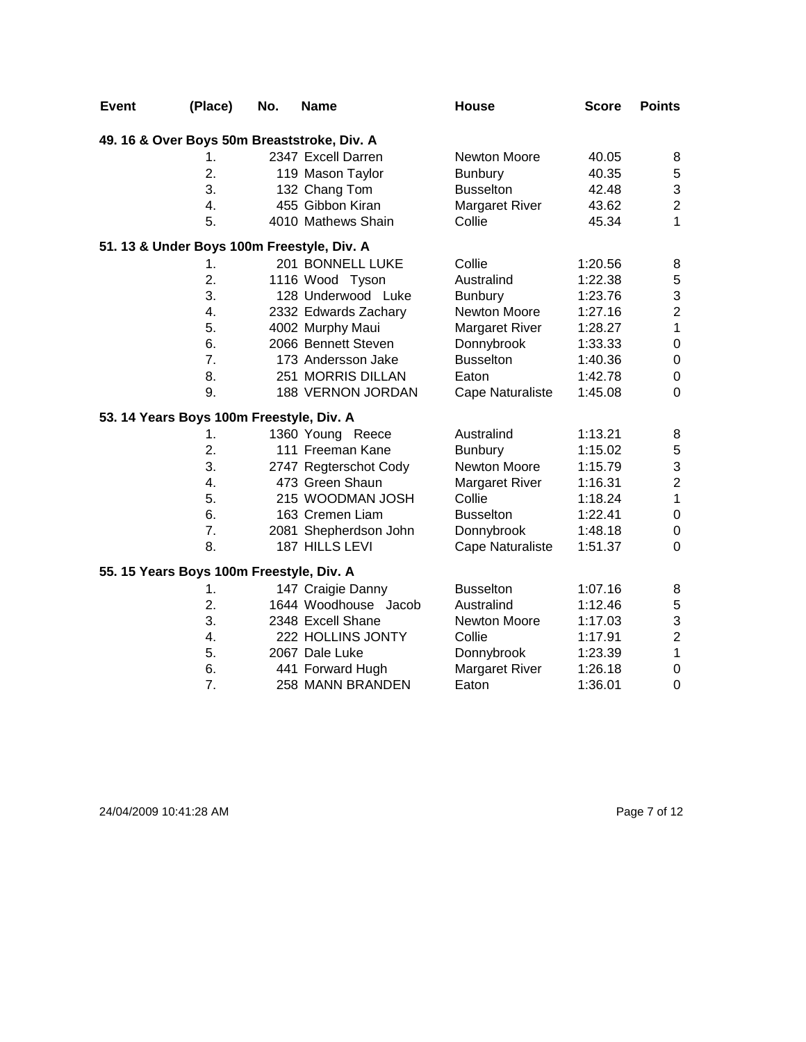| <b>Event</b>                                | (Place) | No. | <b>Name</b>           | <b>House</b>          | <b>Score</b> | <b>Points</b>    |  |  |
|---------------------------------------------|---------|-----|-----------------------|-----------------------|--------------|------------------|--|--|
| 49. 16 & Over Boys 50m Breaststroke, Div. A |         |     |                       |                       |              |                  |  |  |
|                                             | 1.      |     | 2347 Excell Darren    | <b>Newton Moore</b>   | 40.05        | 8                |  |  |
|                                             | 2.      |     | 119 Mason Taylor      | <b>Bunbury</b>        | 40.35        | $\,$ 5 $\,$      |  |  |
|                                             | 3.      |     | 132 Chang Tom         | <b>Busselton</b>      | 42.48        | 3                |  |  |
|                                             | 4.      |     | 455 Gibbon Kiran      | <b>Margaret River</b> | 43.62        | $\overline{2}$   |  |  |
|                                             | 5.      |     | 4010 Mathews Shain    | Collie                | 45.34        | 1                |  |  |
| 51. 13 & Under Boys 100m Freestyle, Div. A  |         |     |                       |                       |              |                  |  |  |
|                                             | 1.      |     | 201 BONNELL LUKE      | Collie                | 1:20.56      | 8                |  |  |
|                                             | 2.      |     | 1116 Wood Tyson       | Australind            | 1:22.38      | $\mathbf 5$      |  |  |
|                                             | 3.      |     | 128 Underwood Luke    | <b>Bunbury</b>        | 1:23.76      | 3                |  |  |
|                                             | 4.      |     | 2332 Edwards Zachary  | Newton Moore          | 1:27.16      | $\overline{c}$   |  |  |
|                                             | 5.      |     | 4002 Murphy Maui      | <b>Margaret River</b> | 1:28.27      | $\mathbf 1$      |  |  |
|                                             | 6.      |     | 2066 Bennett Steven   | Donnybrook            | 1:33.33      | $\pmb{0}$        |  |  |
|                                             | 7.      |     | 173 Andersson Jake    | <b>Busselton</b>      | 1:40.36      | $\mathbf 0$      |  |  |
|                                             | 8.      |     | 251 MORRIS DILLAN     | Eaton                 | 1:42.78      | $\boldsymbol{0}$ |  |  |
|                                             | 9.      |     | 188 VERNON JORDAN     | Cape Naturaliste      | 1:45.08      | $\overline{0}$   |  |  |
| 53. 14 Years Boys 100m Freestyle, Div. A    |         |     |                       |                       |              |                  |  |  |
|                                             | 1.      |     | 1360 Young Reece      | Australind            | 1:13.21      | 8                |  |  |
|                                             | 2.      |     | 111 Freeman Kane      | <b>Bunbury</b>        | 1:15.02      | $\mathbf 5$      |  |  |
|                                             | 3.      |     | 2747 Regterschot Cody | Newton Moore          | 1:15.79      | 3                |  |  |
|                                             | 4.      |     | 473 Green Shaun       | <b>Margaret River</b> | 1:16.31      | $\overline{2}$   |  |  |
|                                             | 5.      |     | 215 WOODMAN JOSH      | Collie                | 1:18.24      | $\overline{1}$   |  |  |
|                                             | 6.      |     | 163 Cremen Liam       | <b>Busselton</b>      | 1:22.41      | $\boldsymbol{0}$ |  |  |
|                                             | 7.      |     | 2081 Shepherdson John | Donnybrook            | 1:48.18      | $\boldsymbol{0}$ |  |  |
|                                             | 8.      |     | 187 HILLS LEVI        | Cape Naturaliste      | 1:51.37      | $\overline{0}$   |  |  |
| 55. 15 Years Boys 100m Freestyle, Div. A    |         |     |                       |                       |              |                  |  |  |
|                                             | 1.      |     | 147 Craigie Danny     | <b>Busselton</b>      | 1:07.16      | 8                |  |  |
|                                             | 2.      |     | 1644 Woodhouse Jacob  | Australind            | 1:12.46      | $\mathbf 5$      |  |  |
|                                             | 3.      |     | 2348 Excell Shane     | <b>Newton Moore</b>   | 1:17.03      | 3                |  |  |
|                                             | 4.      |     | 222 HOLLINS JONTY     | Collie                | 1:17.91      | $\overline{2}$   |  |  |
|                                             | 5.      |     | 2067 Dale Luke        | Donnybrook            | 1:23.39      | $\mathbf{1}$     |  |  |
|                                             | 6.      |     | 441 Forward Hugh      | <b>Margaret River</b> | 1:26.18      | $\boldsymbol{0}$ |  |  |
|                                             | 7.      |     | 258 MANN BRANDEN      | Eaton                 | 1:36.01      | $\mathbf 0$      |  |  |

24/04/2009 10:41:28 AM Page 7 of 12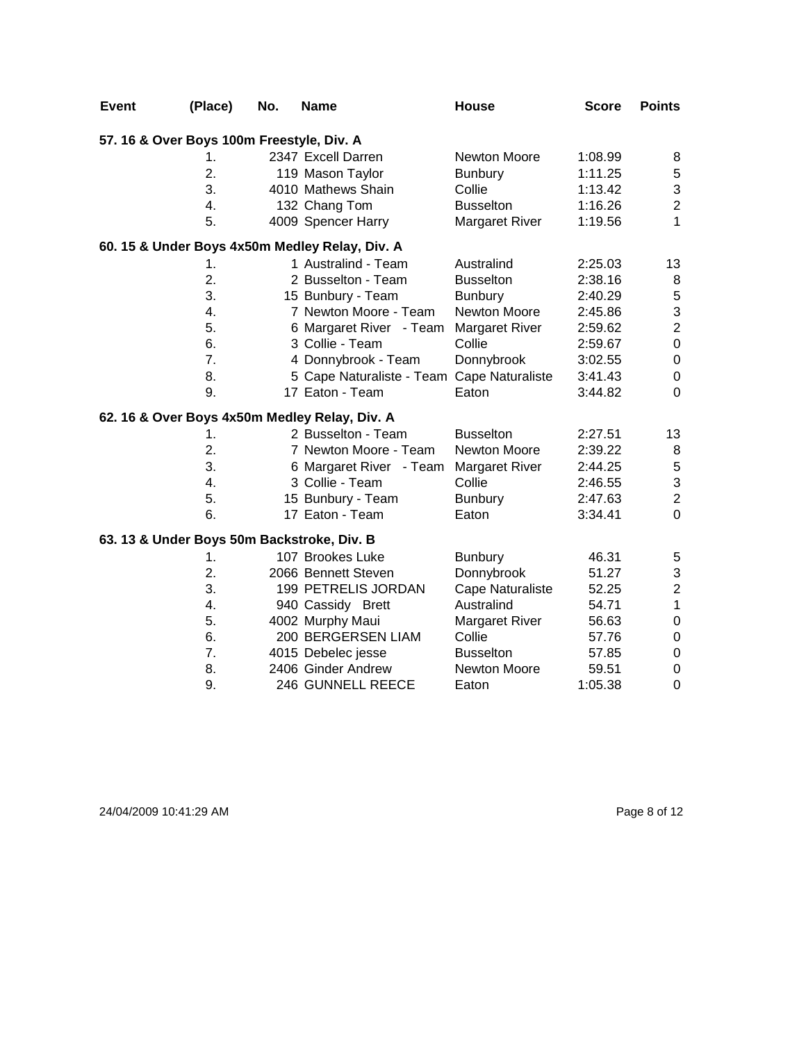| <b>Event</b> | (Place)                                   | No. | <b>Name</b>                                    | <b>House</b>            | <b>Score</b> | <b>Points</b>    |
|--------------|-------------------------------------------|-----|------------------------------------------------|-------------------------|--------------|------------------|
|              | 57. 16 & Over Boys 100m Freestyle, Div. A |     |                                                |                         |              |                  |
|              | 1.                                        |     | 2347 Excell Darren                             | <b>Newton Moore</b>     | 1:08.99      | 8                |
|              | 2.                                        |     | 119 Mason Taylor                               | <b>Bunbury</b>          | 1:11.25      | $\,$ 5 $\,$      |
|              | 3.                                        |     | 4010 Mathews Shain                             | Collie                  | 1:13.42      | 3                |
|              | $\overline{4}$ .                          |     | 132 Chang Tom                                  | <b>Busselton</b>        | 1:16.26      | $\overline{c}$   |
|              | 5.                                        |     | 4009 Spencer Harry                             | <b>Margaret River</b>   | 1:19.56      | 1                |
|              |                                           |     | 60. 15 & Under Boys 4x50m Medley Relay, Div. A |                         |              |                  |
|              | 1.                                        |     | 1 Australind - Team                            | Australind              | 2:25.03      | 13               |
|              | 2.                                        |     | 2 Busselton - Team                             | <b>Busselton</b>        | 2:38.16      | 8                |
|              | 3.                                        |     | 15 Bunbury - Team                              | <b>Bunbury</b>          | 2:40.29      | $\mathbf 5$      |
|              | 4.                                        |     | 7 Newton Moore - Team                          | Newton Moore            | 2:45.86      | 3                |
|              | 5.                                        |     | 6 Margaret River - Team                        | Margaret River          | 2:59.62      | $\overline{2}$   |
|              | 6.                                        |     | 3 Collie - Team                                | Collie                  | 2:59.67      | $\pmb{0}$        |
|              | 7.                                        |     | 4 Donnybrook - Team                            | Donnybrook              | 3:02.55      | $\pmb{0}$        |
|              | 8.                                        |     | 5 Cape Naturaliste - Team Cape Naturaliste     |                         | 3:41.43      | $\pmb{0}$        |
|              | 9.                                        |     | 17 Eaton - Team                                | Eaton                   | 3:44.82      | $\mathbf 0$      |
|              |                                           |     | 62. 16 & Over Boys 4x50m Medley Relay, Div. A  |                         |              |                  |
|              | 1.                                        |     | 2 Busselton - Team                             | <b>Busselton</b>        | 2:27.51      | 13               |
|              | 2.                                        |     | 7 Newton Moore - Team                          | Newton Moore            | 2:39.22      | 8                |
|              | 3.                                        |     | 6 Margaret River - Team                        | <b>Margaret River</b>   | 2:44.25      | $\mathbf 5$      |
|              | 4.                                        |     | 3 Collie - Team                                | Collie                  | 2:46.55      | 3                |
|              | 5.                                        |     | 15 Bunbury - Team                              | <b>Bunbury</b>          | 2:47.63      | $\overline{c}$   |
|              | 6.                                        |     | 17 Eaton - Team                                | Eaton                   | 3:34.41      | $\overline{0}$   |
|              |                                           |     | 63. 13 & Under Boys 50m Backstroke, Div. B     |                         |              |                  |
|              | 1.                                        |     | 107 Brookes Luke                               | <b>Bunbury</b>          | 46.31        | 5                |
|              | 2.                                        |     | 2066 Bennett Steven                            | Donnybrook              | 51.27        | 3                |
|              | 3.                                        |     | 199 PETRELIS JORDAN                            | <b>Cape Naturaliste</b> | 52.25        | $\boldsymbol{2}$ |
|              | 4.                                        |     | 940 Cassidy Brett                              | Australind              | 54.71        | $\mathbf 1$      |
|              | 5.                                        |     | 4002 Murphy Maui                               | <b>Margaret River</b>   | 56.63        | $\boldsymbol{0}$ |
|              | 6.                                        |     | 200 BERGERSEN LIAM                             | Collie                  | 57.76        | $\boldsymbol{0}$ |
|              | 7.                                        |     | 4015 Debelec jesse                             | <b>Busselton</b>        | 57.85        | $\pmb{0}$        |
|              | 8.                                        |     | 2406 Ginder Andrew                             | Newton Moore            | 59.51        | $\boldsymbol{0}$ |
|              | 9.                                        |     | 246 GUNNELL REECE                              | Eaton                   | 1:05.38      | 0                |

24/04/2009 10:41:29 AM Page 8 of 12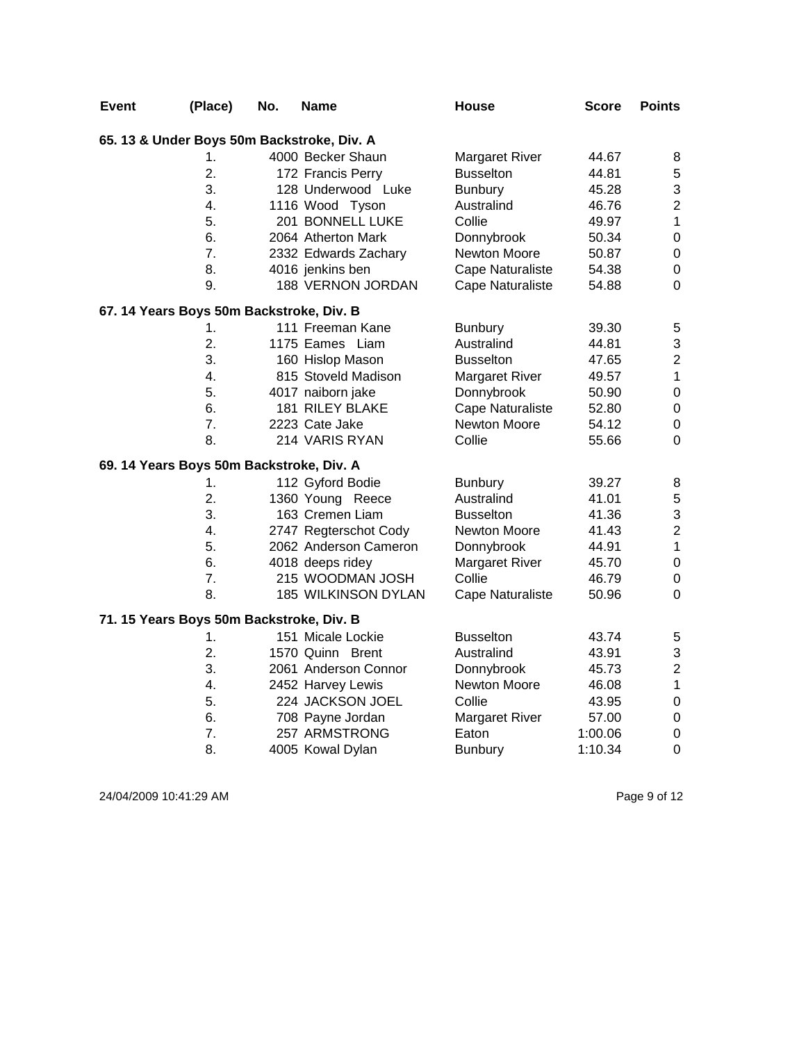| <b>Event</b> | (Place)                                  | No. | <b>Name</b>                                | <b>House</b>            | <b>Score</b> | <b>Points</b>           |
|--------------|------------------------------------------|-----|--------------------------------------------|-------------------------|--------------|-------------------------|
|              |                                          |     | 65. 13 & Under Boys 50m Backstroke, Div. A |                         |              |                         |
|              | 1.                                       |     | 4000 Becker Shaun                          | <b>Margaret River</b>   | 44.67        | 8                       |
|              | $\overline{2}$ .                         |     | 172 Francis Perry                          | <b>Busselton</b>        | 44.81        | 5                       |
|              | 3.                                       |     | 128 Underwood Luke                         | <b>Bunbury</b>          | 45.28        | 3                       |
|              | 4.                                       |     | 1116 Wood Tyson                            | Australind              | 46.76        | $\overline{c}$          |
|              | 5.                                       |     | 201 BONNELL LUKE                           | Collie                  | 49.97        | $\mathbf 1$             |
|              | 6.                                       |     | 2064 Atherton Mark                         | Donnybrook              | 50.34        | $\mathsf 0$             |
|              | 7.                                       |     | 2332 Edwards Zachary                       | Newton Moore            | 50.87        | $\boldsymbol{0}$        |
|              | 8.                                       |     | 4016 jenkins ben                           | <b>Cape Naturaliste</b> | 54.38        | $\boldsymbol{0}$        |
|              | 9.                                       |     | 188 VERNON JORDAN                          | Cape Naturaliste        | 54.88        | $\mathbf 0$             |
|              | 67. 14 Years Boys 50m Backstroke, Div. B |     |                                            |                         |              |                         |
|              | 1.                                       |     | 111 Freeman Kane                           | <b>Bunbury</b>          | 39.30        | 5                       |
|              | 2.                                       |     | 1175 Eames Liam                            | Australind              | 44.81        | 3                       |
|              | 3.                                       |     | 160 Hislop Mason                           | <b>Busselton</b>        | 47.65        | $\overline{\mathbf{c}}$ |
|              | 4.                                       |     | 815 Stoveld Madison                        | <b>Margaret River</b>   | 49.57        | $\mathbf 1$             |
|              | 5.                                       |     | 4017 naiborn jake                          | Donnybrook              | 50.90        | $\boldsymbol{0}$        |
|              | 6.                                       |     | 181 RILEY BLAKE                            | <b>Cape Naturaliste</b> | 52.80        | $\mathbf 0$             |
|              | $\overline{7}$ .                         |     | 2223 Cate Jake                             | Newton Moore            | 54.12        | $\pmb{0}$               |
|              | 8.                                       |     | 214 VARIS RYAN                             | Collie                  | 55.66        | 0                       |
|              | 69. 14 Years Boys 50m Backstroke, Div. A |     |                                            |                         |              |                         |
|              | 1.                                       |     | 112 Gyford Bodie                           | <b>Bunbury</b>          | 39.27        | 8                       |
|              | $\overline{2}$ .                         |     | 1360 Young Reece                           | Australind              | 41.01        | 5                       |
|              | 3.                                       |     | 163 Cremen Liam                            | <b>Busselton</b>        | 41.36        | 3                       |
|              | 4.                                       |     | 2747 Regterschot Cody                      | Newton Moore            | 41.43        | $\overline{2}$          |
|              | 5.                                       |     | 2062 Anderson Cameron                      | Donnybrook              | 44.91        | $\mathbf{1}$            |
|              | 6.                                       |     | 4018 deeps ridey                           | <b>Margaret River</b>   | 45.70        | $\boldsymbol{0}$        |
|              | 7.                                       |     | 215 WOODMAN JOSH                           | Collie                  | 46.79        | $\pmb{0}$               |
|              | 8.                                       |     | 185 WILKINSON DYLAN                        | Cape Naturaliste        | 50.96        | $\mathbf 0$             |
|              | 71. 15 Years Boys 50m Backstroke, Div. B |     |                                            |                         |              |                         |
|              | 1.                                       |     | 151 Micale Lockie                          | <b>Busselton</b>        | 43.74        | 5                       |
|              | 2.                                       |     | 1570 Quinn Brent                           | Australind              | 43.91        | 3                       |
|              | 3.                                       |     | 2061 Anderson Connor                       | Donnybrook              | 45.73        | $\overline{\mathbf{c}}$ |
|              | 4.                                       |     | 2452 Harvey Lewis                          | Newton Moore            | 46.08        | $\mathbf 1$             |
|              | 5.                                       |     | 224 JACKSON JOEL                           | Collie                  | 43.95        | $\mathbf 0$             |
|              | 6.                                       |     | 708 Payne Jordan                           | <b>Margaret River</b>   | 57.00        | $\mathbf 0$             |
|              | 7.                                       |     | 257 ARMSTRONG                              | Eaton                   | 1:00.06      | $\boldsymbol{0}$        |
|              | 8.                                       |     | 4005 Kowal Dylan                           | <b>Bunbury</b>          | 1:10.34      | $\mathsf 0$             |

24/04/2009 10:41:29 AM Page 9 of 12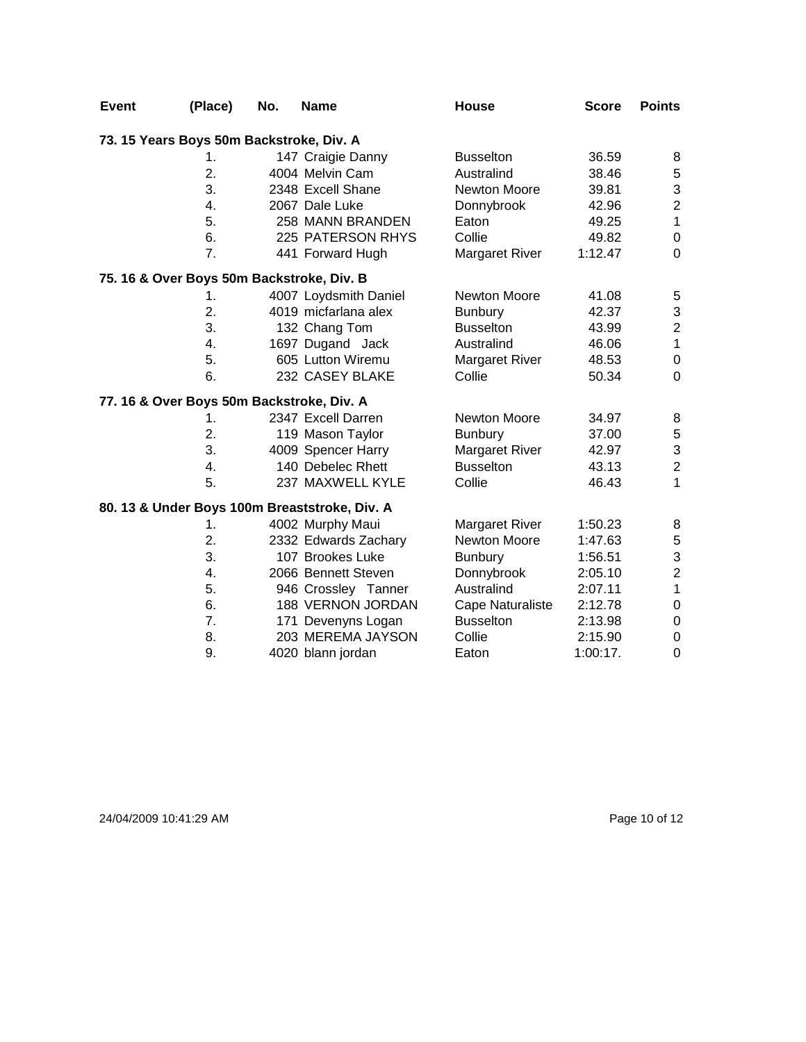| <b>Event</b> | (Place)                                   | No. | <b>Name</b>                                   | House                 | <b>Score</b> | <b>Points</b>           |
|--------------|-------------------------------------------|-----|-----------------------------------------------|-----------------------|--------------|-------------------------|
|              | 73. 15 Years Boys 50m Backstroke, Div. A  |     |                                               |                       |              |                         |
|              | 1.                                        |     | 147 Craigie Danny                             | <b>Busselton</b>      | 36.59        | 8                       |
|              | 2.                                        |     | 4004 Melvin Cam                               | Australind            | 38.46        | 5                       |
|              | 3.                                        |     | 2348 Excell Shane                             | Newton Moore          | 39.81        | 3                       |
|              | $\overline{4}$ .                          |     | 2067 Dale Luke                                | Donnybrook            | 42.96        | $\overline{2}$          |
|              | 5.                                        |     | 258 MANN BRANDEN                              | Eaton                 | 49.25        | $\overline{1}$          |
|              | 6.                                        |     | 225 PATERSON RHYS                             | Collie                | 49.82        | $\boldsymbol{0}$        |
|              | 7.                                        |     | 441 Forward Hugh                              | <b>Margaret River</b> | 1:12.47      | $\mathbf 0$             |
|              | 75. 16 & Over Boys 50m Backstroke, Div. B |     |                                               |                       |              |                         |
|              | 1.                                        |     | 4007 Loydsmith Daniel                         | Newton Moore          | 41.08        | 5                       |
|              | 2.                                        |     | 4019 micfarlana alex                          | <b>Bunbury</b>        | 42.37        | 3                       |
|              | 3.                                        |     | 132 Chang Tom                                 | <b>Busselton</b>      | 43.99        | $\overline{\mathbf{c}}$ |
|              | 4.                                        |     | 1697 Dugand Jack                              | Australind            | 46.06        | $\mathbf{1}$            |
|              | 5.                                        |     | 605 Lutton Wiremu                             | <b>Margaret River</b> | 48.53        | 0                       |
|              | 6.                                        |     | 232 CASEY BLAKE                               | Collie                | 50.34        | $\mathbf 0$             |
|              | 77. 16 & Over Boys 50m Backstroke, Div. A |     |                                               |                       |              |                         |
|              | $\mathbf 1$ .                             |     | 2347 Excell Darren                            | Newton Moore          | 34.97        | 8                       |
|              | 2.                                        |     | 119 Mason Taylor                              | <b>Bunbury</b>        | 37.00        | $\,$ 5 $\,$             |
|              | 3.                                        |     | 4009 Spencer Harry                            | <b>Margaret River</b> | 42.97        | 3                       |
|              | 4.                                        |     | 140 Debelec Rhett                             | <b>Busselton</b>      | 43.13        | $\overline{c}$          |
|              | 5.                                        |     | 237 MAXWELL KYLE                              | Collie                | 46.43        | $\mathbf{1}$            |
|              |                                           |     | 80. 13 & Under Boys 100m Breaststroke, Div. A |                       |              |                         |
|              | 1.                                        |     | 4002 Murphy Maui                              | <b>Margaret River</b> | 1:50.23      | 8                       |
|              | 2.                                        |     | 2332 Edwards Zachary                          | Newton Moore          | 1:47.63      | $\mathbf 5$             |
|              | 3.                                        |     | 107 Brookes Luke                              | <b>Bunbury</b>        | 1:56.51      | 3                       |
|              | $\overline{4}$ .                          |     | 2066 Bennett Steven                           | Donnybrook            | 2:05.10      | $\overline{2}$          |
|              | 5.                                        |     | 946 Crossley Tanner                           | Australind            | 2:07.11      | 1                       |
|              | 6.                                        |     | 188 VERNON JORDAN                             | Cape Naturaliste      | 2:12.78      | $\boldsymbol{0}$        |
|              | 7.                                        |     | 171 Devenyns Logan                            | <b>Busselton</b>      | 2:13.98      | $\boldsymbol{0}$        |
|              | 8.                                        |     | 203 MEREMA JAYSON                             | Collie                | 2:15.90      | 0                       |
|              | 9.                                        |     | 4020 blann jordan                             | Eaton                 | 1:00:17.     | $\mathbf 0$             |

24/04/2009 10:41:29 AM Page 10 of 12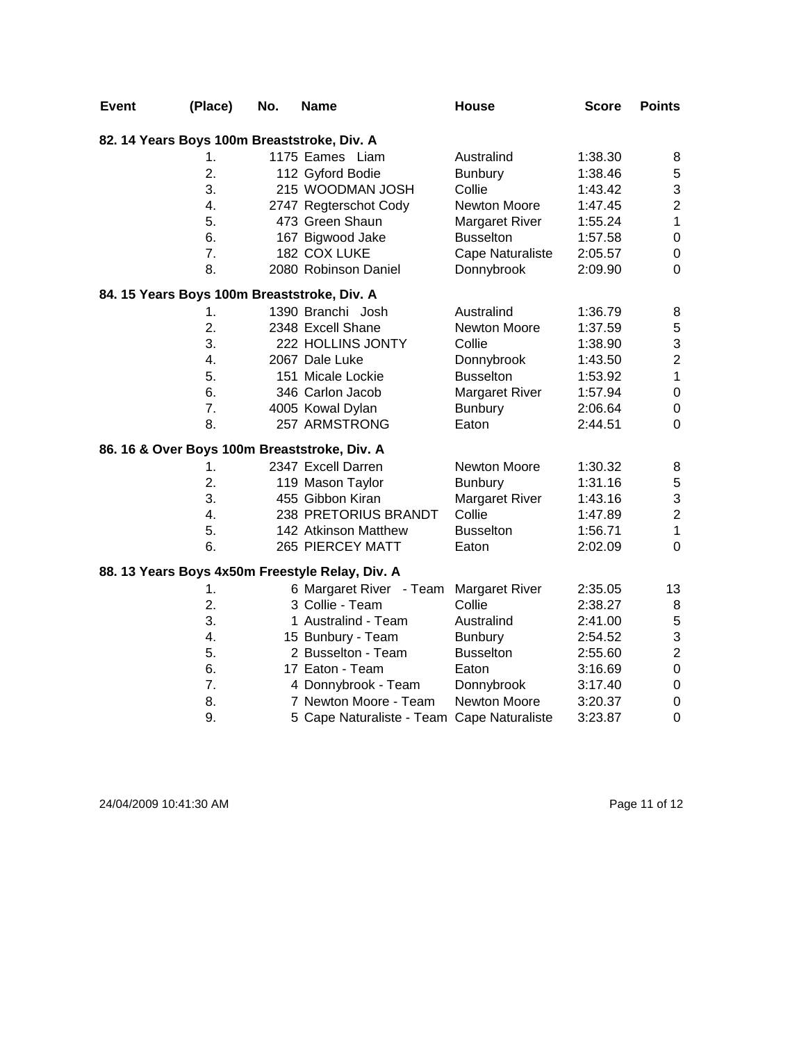| <b>Event</b> | (Place)          | No. | <b>Name</b>                                     | House                 | <b>Score</b> | <b>Points</b>    |
|--------------|------------------|-----|-------------------------------------------------|-----------------------|--------------|------------------|
|              |                  |     | 82. 14 Years Boys 100m Breaststroke, Div. A     |                       |              |                  |
|              | 1.               |     | 1175 Eames Liam                                 | Australind            | 1:38.30      | 8                |
|              | 2.               |     | 112 Gyford Bodie                                | <b>Bunbury</b>        | 1:38.46      | 5                |
|              | 3.               |     | 215 WOODMAN JOSH                                | Collie                | 1:43.42      | 3                |
|              | 4.               |     | 2747 Regterschot Cody                           | Newton Moore          | 1:47.45      | $\overline{c}$   |
|              | 5.               |     | 473 Green Shaun                                 | <b>Margaret River</b> | 1:55.24      | $\mathbf 1$      |
|              | 6.               |     | 167 Bigwood Jake                                | <b>Busselton</b>      | 1:57.58      | $\boldsymbol{0}$ |
|              | 7.               |     | 182 COX LUKE                                    | Cape Naturaliste      | 2:05.57      | $\pmb{0}$        |
|              | 8.               |     | 2080 Robinson Daniel                            | Donnybrook            | 2:09.90      | $\mathbf 0$      |
|              |                  |     | 84. 15 Years Boys 100m Breaststroke, Div. A     |                       |              |                  |
|              | 1.               |     | 1390 Branchi Josh                               | Australind            | 1:36.79      | 8                |
|              | 2.               |     | 2348 Excell Shane                               | Newton Moore          | 1:37.59      | $\sqrt{5}$       |
|              | 3.               |     | 222 HOLLINS JONTY                               | Collie                | 1:38.90      | 3                |
|              | 4.               |     | 2067 Dale Luke                                  | Donnybrook            | 1:43.50      | $\overline{2}$   |
|              | 5.               |     | 151 Micale Lockie                               | <b>Busselton</b>      | 1:53.92      | $\mathbf{1}$     |
|              | 6.               |     | 346 Carlon Jacob                                | Margaret River        | 1:57.94      | $\pmb{0}$        |
|              | $\overline{7}$ . |     | 4005 Kowal Dylan                                | <b>Bunbury</b>        | 2:06.64      | $\boldsymbol{0}$ |
|              | 8.               |     | 257 ARMSTRONG                                   | Eaton                 | 2:44.51      | $\mathbf 0$      |
|              |                  |     | 86. 16 & Over Boys 100m Breaststroke, Div. A    |                       |              |                  |
|              | 1.               |     | 2347 Excell Darren                              | Newton Moore          | 1:30.32      | 8                |
|              | 2.               |     | 119 Mason Taylor                                | <b>Bunbury</b>        | 1:31.16      | 5                |
|              | 3.               |     | 455 Gibbon Kiran                                | Margaret River        | 1:43.16      | 3                |
|              | 4.               |     | 238 PRETORIUS BRANDT                            | Collie                | 1:47.89      | $\overline{c}$   |
|              | 5.               |     | 142 Atkinson Matthew                            | <b>Busselton</b>      | 1:56.71      | $\mathbf{1}$     |
|              | 6.               |     | 265 PIERCEY MATT                                | Eaton                 | 2:02.09      | $\mathbf 0$      |
|              |                  |     | 88. 13 Years Boys 4x50m Freestyle Relay, Div. A |                       |              |                  |
|              | 1.               |     | 6 Margaret River - Team                         | <b>Margaret River</b> | 2:35.05      | 13               |
|              | 2.               |     | 3 Collie - Team                                 | Collie                | 2:38.27      | $\bf 8$          |
|              | 3.               |     | 1 Australind - Team                             | Australind            | 2:41.00      | $\mathbf 5$      |
|              | 4.               |     | 15 Bunbury - Team                               | <b>Bunbury</b>        | 2:54.52      | 3                |
|              | 5.               |     | 2 Busselton - Team                              | <b>Busselton</b>      | 2:55.60      | $\overline{c}$   |
|              | 6.               |     | 17 Eaton - Team                                 | Eaton                 | 3:16.69      | $\boldsymbol{0}$ |
|              | 7.               |     | 4 Donnybrook - Team                             | Donnybrook            | 3:17.40      | $\pmb{0}$        |
|              | 8.               |     | 7 Newton Moore - Team                           | Newton Moore          | 3:20.37      | $\boldsymbol{0}$ |
|              | 9.               |     | 5 Cape Naturaliste - Team Cape Naturaliste      |                       | 3:23.87      | $\mathbf 0$      |

24/04/2009 10:41:30 AM Page 11 of 12